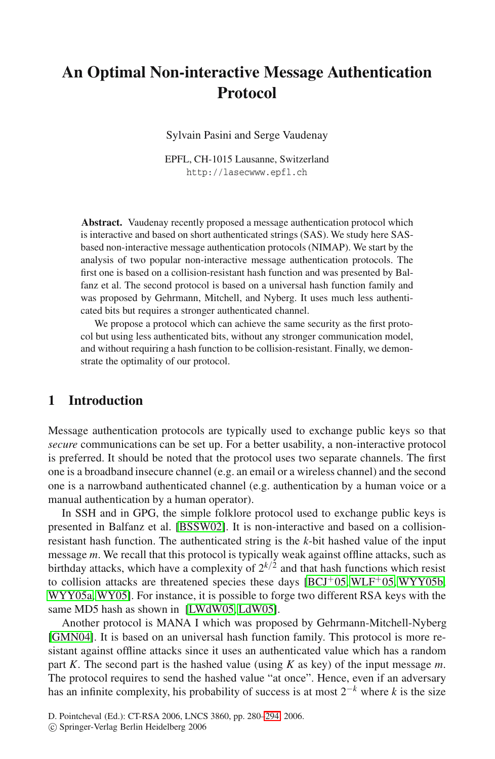# **An Optimal Non-interactive Message Authentication Protocol**

Sylvain Pasini and Serge Vaudenay

EPFL, CH-1015 Lausanne, Switzerland http://lasecwww.epfl.ch

**Abstract.** Vaudenay recently proposed a message authentication protocol which is interactive and based on short authenticated strings (SAS). We study here SASbased non-interactive message authentication protocols (NIMAP). We start by the analysis of two popular non-interactive message authentication protocols. The first one is based on a collision-resistant hash function and was presented by Balfanz et al. The second protocol is based on a universal hash function family and was proposed by Gehrmann, Mitchell, and Nyberg. It uses much less authenticated bits but requires a stronger authenticated channel.

We propose a protocol which can achieve the same security as the first protocol but using less authenticated bits, without any stronger communication model, and without requiring a hash function to be collision-resistant. Finally, we demonstrate the optimality of our protocol.

# **1 Introduction**

Messag[e authenti](#page-13-0)cation protocols are typically used to exchange public keys so that *secure* communications can be set up. For a better usability, a non-interactive protocol is preferred. It should be noted that the protocol uses two separate channels. The first one is a broadband insecure channel (e.g. an email or a wireless channel) and the second one is a narrowband authenticated [channel \(](#page-13-1)[e.g. authe](#page-14-0)[ntication by](#page-14-1) a human voice or a manual authentication by a human operator).

In SS[H and in G](#page-13-2)[PG, the](#page-13-3) simple folklore protocol used to exchange public keys is presented in Balfanz et al. [BSSW02]. It is non-interactive and based on a collisionresistant hash function. The authenticated string is the *k*-bit hashed value of the input message *m*. We recall that this protocol is typically weak against offline attacks, such as birthday attacks, which have a complexity of 2*k*/<sup>2</sup> and that hash functions which resist to collision attacks are threatened species these days  $[BCJ<sup>+</sup>05, WLF<sup>+</sup>05, WYY05b,$ WYY05a, WY05]. For instance, it is possible to forge two different RSA keys with the same MD5 hash as shown in [LWdW05, LdW05].

Another protocol is M[ANA](#page-14-2) I which was proposed by Gehrmann-Mitchell-Nyberg [GMN04]. It is based on an universal hash function family. This protocol is more resistant against offline attacks since it uses an authenticated value which has a random part *K*. The second part is the hashed value (using *K* as key) of the input message *m*. The protocol requires to send the hashed value "at once". Hence, even if an adversary has an infinite complexity, his probability of success is at most  $2^{-k}$  where *k* is the size

D. Pointcheval (Ed.): CT-RSA 2006, LNCS 3860, pp. 280–294, 2006.

c Springer-Verlag Berlin Heidelberg 2006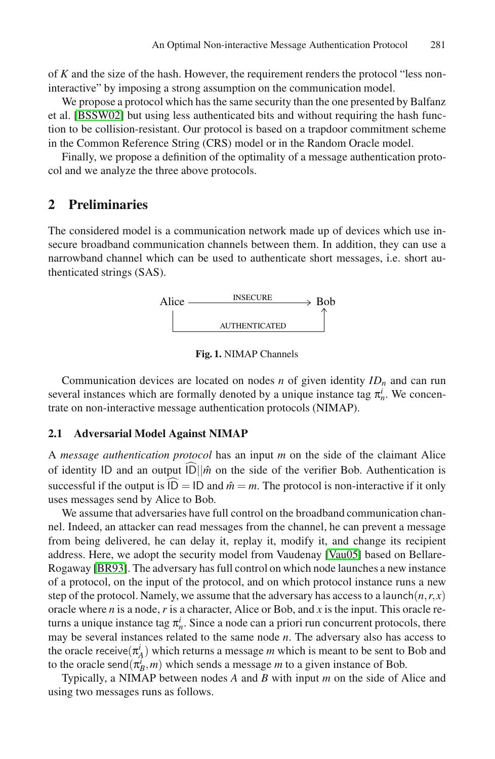of *K* and the size of the hash. However, the requirement renders the protocol "less noninteractive" by imposing a strong assumption on the communication model.

We propose a protocol which has the same security than the one presented by Balfanz et al. [BSSW02] but using less authenticated bits and without requiring the hash function to be collision-resistant. Our protocol is based on a trapdoor commitment scheme in the Common Reference String (CRS) model or in the Random Oracle model.

Finally, we propose a definition of the optimality of a message authentication protocol and we analyze the three above protocols.

### **2 Preliminaries**

The considered model is a communication network made up of devices which use insecure broadband communication channels between them. In addition, they can use a narrowband channel which can be used to authenticate short messages, i.e. short authenticated strings (SAS).



**Fig. 1.** NIMAP Channels

Communication devices are located on nodes  $n$  of given identity  $ID_n$  and can run several instances which are formally denoted by a unique instance tag  $\pi_n^i$ . We concentrate on non-interactive message authentication protocols (NIMAP).

#### **2.1 Adversarial Model Against NIMAP**

A *message authentication protocol* has [an inp](#page-14-3)ut *m* on the side of the claimant Alice of identity ID and an output  $|D||\hat{m}$  on the side of the verifier Bob. Authentication is successful if the output is  $\widehat{ID} = ID$  and  $\hat{m} = m$ . The protocol is non-interactive if it only uses messages send by Alice to Bob.

We assume that adversaries have full control on the broadband communication channel. Indeed, an attacker can read messages from the channel, he can prevent a message from being delivered, he can delay it, replay it, modify it, and change its recipient address. Here, we adopt the security model from Vaudenay [Vau05] based on Bellare-Rogaway [BR93]. The adversary has full control on which node launches a new instance of a protocol, on the input of the protocol, and on which protocol instance runs a new step of the protocol. Namely, we assume that the adversary has access to a launch $(n, r, x)$ oracle where *n* is a node, *r* is a character, Alice or Bob, and *x* is the input. This oracle returns a unique instance tag  $\pi_n^i$ . Since a node can a priori run concurrent protocols, there may be several instances related to the same node *n*. The adversary also has access to the oracle receive( $\pi_A^i$ ) which returns a message *m* which is meant to be sent to Bob and to the oracle send $(\pi_B^i, m)$  which sends a message *m* to a given instance of Bob.

Typically, a NIMAP between nodes *A* and *B* with input *m* on the side of Alice and using two messages runs as follows.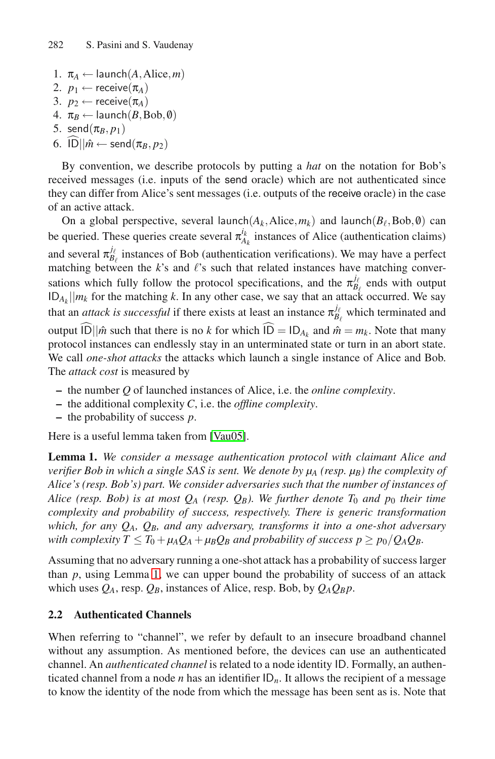- 1.  $\pi_A \leftarrow$  launch(A, Alice, *m*)
- 2.  $p_1 \leftarrow$  receive( $\pi_A$ )
- 3.  $p_2 \leftarrow \text{receive}(\pi_A)$
- 4.  $\pi_B \leftarrow$  launch(*B*, Bob, 0)
- 5. send $(\pi_B, p_1)$
- 6. ID $||\hat{m} \leftarrow$  send $(\pi_B, p_2)$

By convention, we describe protocols by putting a *hat* on the notation for Bob's received messages (i.e. inputs of the send oracle) which are not authenticated since they can differ from Alice's sent messages (i.e. outputs of the receive oracle) in the case of an active attack.

On a global perspective, several launch( $A_k$ ,Alice, $m_k$ ) and launch( $B_\ell$ ,Bob,0) can be queried. These queries create several  $\pi_{A_k}^{i_k}$  instances of Alice (authentication claims) and several  $\pi_{B_\ell}^{j_\ell}$  instances of Bob (authentication verifications). We may have a perfect matching between the  $k$ 's and  $\ell$ 's such that related instances have matching conversations which fully follow the protocol specifications, and the  $\pi_{B_\ell}^{j_\ell}$  ends with output  $|D_{A_k}| |m_k$  for the matching k. In any other case, we say that an attack occurred. We say that an *attack is successful* if there exists at least an instance  $\pi_{B_\ell}^{j_\ell}$  which terminated and output  $\widehat{D}||\hat{m}$  such that there is no *k* for which  $\widehat{ID} = ID_{A_k}$  and  $\hat{m} = m_k$ . Note that many protocol insta[nces](#page-14-3) [can](#page-14-3) endlessly stay in an unterminated state or turn in an abort state. We call *one-shot attacks* the attacks which launch a single instance of Alice and Bob. The *attack cost* is measured by

- <span id="page-2-0"></span>**–** the number *Q* of launched instances of Alice, i.e. the *online complexity*.
- **–** the additional complexity *C*, i.e. the *offline complexity*.
- **–** the probability of success *p*.

Here is a useful lemma taken from [Vau05].

**Lemma 1.** *We consider a message authentication protocol with claimant Alice and v[eri](#page-2-0)fier Bob in which a single SAS is sent. We denote by μ<sub>A</sub> (resp. μ<sub>B</sub>) the complexity of Alice's (resp. Bob's) part. We consider adversaries such that the number of instances of Alice (resp. Bob) is at most*  $Q_A$  *(resp.*  $Q_B$ *). We further denote*  $T_0$  *and*  $p_0$  *their time complexity and probability of success, respectively. There is generic transformation which, for any QA, QB, and any adversary, transforms it into a one-shot adversary with complexity*  $T \leq T_0 + \mu_A Q_A + \mu_B Q_B$  *and probability of success*  $p \geq p_0/Q_AQ_B$ .

Assuming that no adversary running a one-shot attack has a probability of success larger than *p*, using Lemma 1, we can upper bound the probability of success of an attack which uses  $Q_A$ , resp.  $Q_B$ , instances of Alice, resp. Bob, by  $Q_A Q_B p$ .

#### **2.2 Authenticated Channels**

When referring to "channel", we refer by default to an insecure broadband channel without any assumption. As mentioned before, the devices can use an authenticated channel. An *authenticated channel* is related to a node identity ID. Formally, an authenticated channel from a node *n* has an identifier  $ID_n$ . It allows the recipient of a message to know the identity of the node from which the message has been sent as is. Note that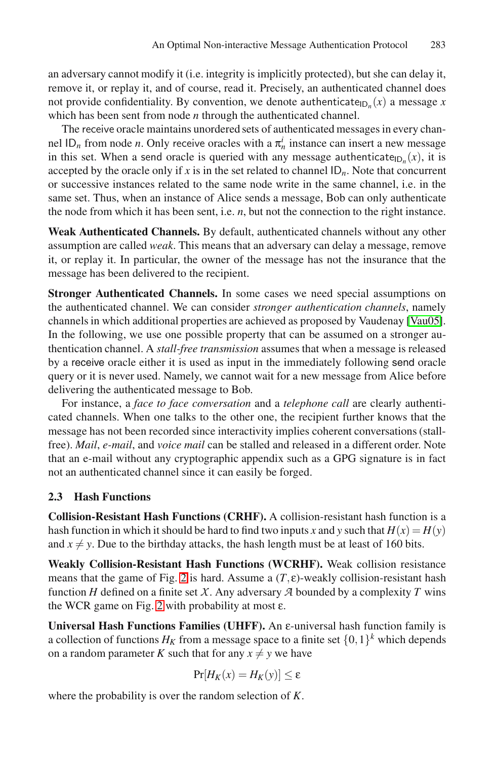an adversary cannot modify it (i.e. integrity is implicitly protected), but she can delay it, remove it, or replay it, and of course, read it. Precisely, an authenticated channel does not provide confidentiality. By convention, we denote authenticate<sub>ID<sub>n</sub></sub> $(x)$  a message *x* which has been sent from node *n* through the authenticated channel.

The receive oracle maintains unordered sets of authenticated messages in every channel  $ID_n$  from node *n*. Only receive oracles with a  $\pi_n^i$  instance can insert a new message in this set. When a send oracle is queried with any message authenticate<sub>ID<sub>n</sub>  $(x)$ , it is</sub> accepted by the oracle only if  $x$  is in the set related to channel  $ID_n$ . Note that concurrent or successive instances related to the same node write in the same channel, i.e. in the same set. Thus, when an instance of Alice sends a message, Bob can only authenticate the node from which it has been sent, i.e. *n*, but not the connection to the right instance.

**Weak Authenticated Channels.** By default, authenticate[d](#page-14-3) [chann](#page-14-3)els without any other assumption are called *weak*. This means that an adversary can delay a message, remove it, or replay it. In particular, the owner of the message has not the insurance that the message has been delivered to the recipient.

**Stronger Authenticated Channels.** In some cases we need special assumptions on the authenticated channel. We can consider *stronger authentication channels*, namely channels in which additional properties are achieved as proposed by Vaudenay [Vau05]. In the following, we use one possible property that can be assumed on a stronger authentication channel. A *stall-free transmission* assumes that when a message is released by a receive oracle either it is used as input in the immediately following send oracle query or it is never used. Namely, we cannot wait for a new message from Alice before delivering the authenticated message to Bob.

For instance, a *face to face conversation* and a *telephone call* are clearly authenticated channels. When one talks to the other one, the recipient further knows that the message has not been recorded since interactivity implies coherent conversations (stallfree). *Mail*, *e-mail*, and *voice mail* can be stalled and released in a different order. Note that an e-mail without any cryptographic appendix such as a GPG signature is in fact not an a[ut](#page-4-0)henticated channel since it can easily be forged.

#### **2.3 Hash Functions**

**C[oll](#page-4-0)ision-Resistant Hash Functions (CRHF).** A collision-resistant hash function is a hash function in which it should be hard to find two inputs *x* and *y* such that  $H(x) = H(y)$ and  $x \neq y$ . Due to the birthday attacks, the hash length must be at least of 160 bits.

**Weakly Collision-Resistant Hash Functions (WCRHF).** Weak collision resistance means that the game of Fig. 2 is hard. Assume a  $(T, \varepsilon)$ -weakly collision-resistant hash function *H* defined on a finite set *X*. Any adversary *A* bounded by a complexity *T* wins the WCR game on Fig. 2 with probability at most  $ε$ .

**Universal Hash Functions Families (UHFF).** An ε-universal hash function family is a collection of functions  $H_K$  from a message space to a finite set  $\{0,1\}^k$  which depends on a random parameter *K* such that for any  $x \neq y$  we have

$$
\Pr[H_K(x) = H_K(y)] \le \varepsilon
$$

where the probability is over the random selection of *K*.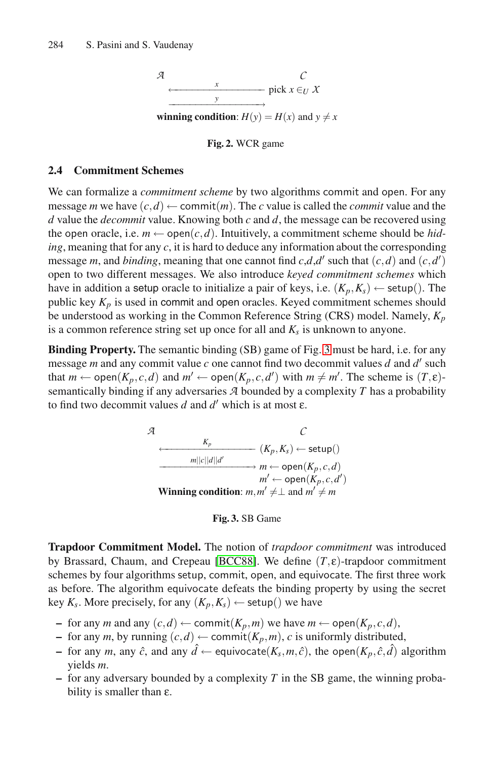<span id="page-4-0"></span>

**Fig. 2.** WCR game

#### **2.4 Commitment Schemes**

We can formalize a *commitment scheme* by two algorithms commit and open. For any message *m* we have  $(c, d) \leftarrow$  commit $(m)$ . The *c* value is called the *commit* value and the *d* value the *decommit* value. Knowing both *c* and *d*, the message can be recovered using the open oracle, i.e.  $m \leftarrow \text{open}(c, d)$ . Intuitively, a commitment scheme should be *hiding*, meaning that for any *c*, it is hard to [de](#page-4-1)duce any information about the corresponding message *m*, and *binding*, meaning that one cannot find  $c, d, d'$  such that  $(c, d)$  and  $(c, d')$ open to two different messages. We also introduce *keyed commitment schemes* which have in addition a setup oracle to initialize a pair of keys, i.e.  $(K_p, K_s) \leftarrow \text{setup}()$ . The public key  $K_p$  is used in commit and open oracles. Keyed commitment schemes should be understood as working in the Common Reference String (CRS) model. Namely, *Kp* is a common reference string set up once for all and  $K_s$  is unknown to anyone.

**Binding Property.** The semantic binding (SB) game of Fig. 3 must be hard, i.e. for any message *m* and any commit value *c* one cannot find two decommit values *d* and  $d'$  such that  $m \leftarrow \text{open}(K_p, c, d)$  and  $m' \leftarrow \text{open}(K_p, c, d')$  with  $m \neq m'$ . The scheme is  $(T, \varepsilon)$ semantically binding if any adversaries *A* bounded by a complexity *T* has a probability to find two decommit values  $d$  and  $d'$  which is at most  $\varepsilon$ .

<span id="page-4-1"></span>



**Trapdoor Commitment Model.** The notion of *trapdoor commitment* was introduced by Brassard, Chaum, and Crepeau [BCC88]. We define (*T*,ε)-trapdoor commitment schemes by four algorithms setup, commit, open, and equivocate. The first three work as before. The algorithm equivocate defeats the binding property by using the secret key  $K_s$ . More precisely, for any  $(K_p, K_s) \leftarrow$  setup() we have

- **−** for any *m* and any  $(c,d)$  ← commit $(K_p,m)$  we have  $m$  ← open $(K_p,c,d)$ ,
- **−** for any *m*, by running  $(c,d)$  ← commit $(K_p,m)$ , *c* is uniformly distributed,
- **−** for any *m*, any  $\hat{c}$ , and any  $\hat{d}$  ← equivocate( $K_s$ ,  $m, \hat{c}$ ), the open( $K_p$ ,  $\hat{c}$ , $\hat{d}$ ) algorithm yields *m*.
- **–** for any adversary bounded by a complexity *T* in the SB game, the winning probability is smaller than ε.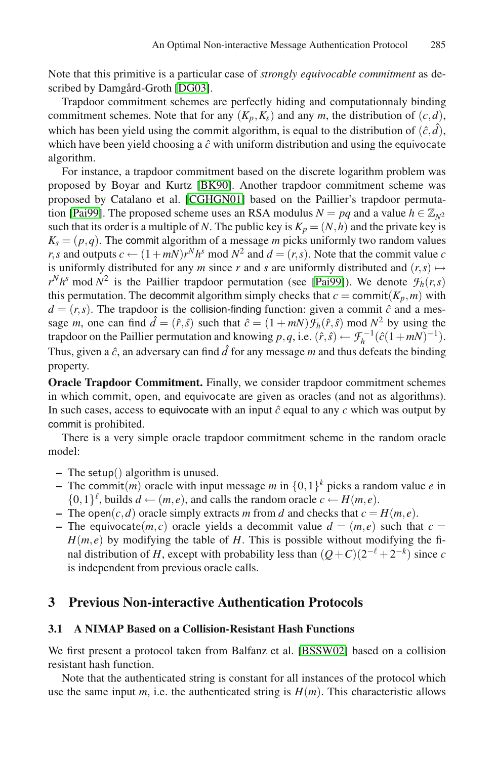Note that this primitive is a particular case of *strongly equivocable commitment* as described by Damgård-Groth [DG03].

Trapd[oor commitm](#page-13-6)ent schemes are perfectly hiding and computationnaly binding commitment schemes. Note that for any  $(K_p, K_s)$  and any *m*, the distribution of  $(c, d)$ , which has been yield using the commit algorithm, is equal to the distribution of  $(\hat{c}, \hat{d})$ , which have been yield choosing a  $\hat{c}$  with uniform distribution and using the equivocate algorithm.

For instance, a trapdoor commitment based on the discrete logarithm problem was proposed by Boyar and Kurtz [BK[90\]. An](#page-13-7)other trapdoor commitment scheme was proposed by Catalano et al. [CGHGN01] based on the Paillier's trapdoor permutation [Pai99]. The proposed scheme uses an RSA modulus  $N = pq$  and a value  $h \in \mathbb{Z}_{N^2}$ such that its order is a multiple of *N*. The public key is  $K_p = (N, h)$  and the private key is  $K_s = (p, q)$ . The commit algorithm of a message *m* picks uniformly two random values *r*,*s* and outputs  $c \leftarrow (1 + mN)r^Nh^s \mod N^2$  and  $d = (r, s)$ . Note that the commit value *c* is uniformly distributed for any *m* since *r* and *s* are uniformly distributed and  $(r, s) \mapsto$  $r^N h^s$  mod  $N^2$  is the Paillier trapdoor permutation (see [Pai99]). We denote  $\mathcal{F}_h(r,s)$ this permutation. The decommit algorithm simply checks that  $c = \text{commit}(K_p, m)$  with  $d = (r, s)$ . The trapdoor is the collision-finding function: given a commit  $\hat{c}$  and a message *m*, one can find  $\hat{d} = (\hat{r}, \hat{s})$  such that  $\hat{c} = (1 + mN) \mathcal{F}_h(\hat{r}, \hat{s})$  mod  $N^2$  by using the trapdoor on the Paillier permutation and knowing *p*,*q*, i.e.  $(\hat{r}, \hat{s}) \leftarrow \mathcal{F}_h^{-1}(\hat{c}(1+mN)^{-1})$ . Thus, given a  $\hat{c}$ , an adversary can find  $\hat{d}$  for any message *m* and thus defeats the binding property.

**Oracle Trapdoor Commitment.** Finally, we consider trapdoor commitment schemes in which commit, open, and equivocate are given as oracles (and not as algorithms). In such cases, access to equivocate with an input  $\hat{c}$  equal to any  $c$  which was output by commit is prohibited.

There is a very simple oracle trapdoor commitment scheme in the random oracle model:

- **–** The setup() algorithm is unused.
- **–** The commit(*m*) oracle with input message *m* in  $\{0,1\}^k$  picks a random value *e* in {0,1}<sup> $\ell$ </sup>, builds  $d \leftarrow (m, e)$ , and calls the random oracle  $c \leftarrow H(m, e)$ .
- **–** The open $(c,d)$  oracle simply extracts *m* from *d* and checks that  $c = H(m,e)$ .
- **–** The equivocate $(m, c)$  oracle yields a decommit value  $d = (m, e)$  such that  $c =$  $H(m, e)$  by modifying the table of *H*. This is possible without modifying the final distribution of *H*, except [with proba](#page-13-0)bility less than  $(O+C)(2^{-\ell}+2^{-k})$  since *c* is independent from previous oracle calls.

# **3 Previous Non-interactive Authentication Protocols**

### **3.1 A NIMAP Based on a Collision-Resistant Hash Functions**

We first present a protocol taken from Balfanz et al. [BSSW02] based on a collision resistant hash function.

Note that the authenticated string is constant for all instances of the protocol which use the same input  $m$ , i.e. the authenticated string is  $H(m)$ . This characteristic allows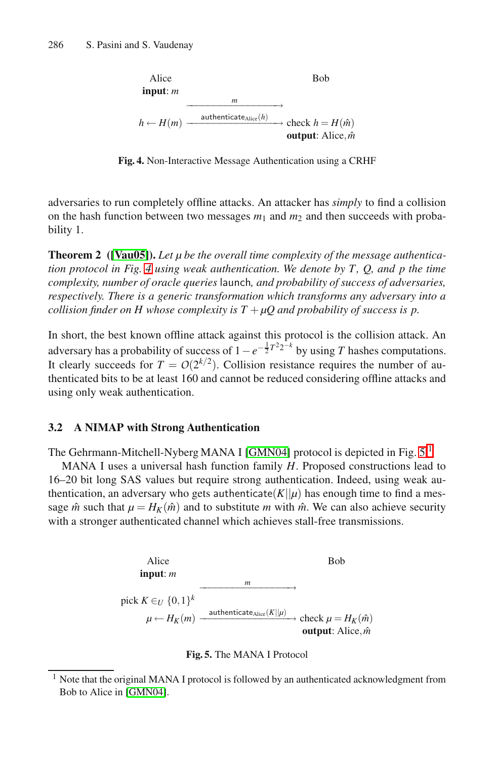

**Fig. 4.** Non-Interactive Message Authentication using a CRHF

<span id="page-6-2"></span>adversaries to run completely offline attacks. An attacker has *simply* to find a collision on the hash function between two messages  $m_1$  and  $m_2$  and then succeeds with probability 1.

**Theorem 2 ([Vau05]).** *Let µ be the overall time complexity of the message authentication protocol in Fig. 4 using weak authentication. We denote by T, Q, and p the time complexity, number of oracle queries* launch*, and probability of success of adversaries, respectively. There is a generic transformation which transforms any adversary into a collision finder on H whose complexity is*  $T + \mu Q$  *and probability of success is p.* 

In short, the best known offline attack against this protocol is the collision attack. An adversary has a proba[bility of su](#page-13-8)ccess of  $1 - e^{-\frac{1}{2}T^2 2^{-k}}$  by usi[n](#page-6-0)[g](#page-6-1) *T* hashes computations. It clearly succeeds for  $T = O(2^{k/2})$ . Collision resistance requires the number of authenticated bits to be at least 160 and cannot be reduced considering offline attacks and using only weak authentication.

#### **3.2 A NIMAP with Strong Authentication**

The Gehrmann-Mitchell-Nyberg MANA I [GMN04] protocol is depicted in Fig. 5.<sup>1</sup>

MANA I uses a universal hash function family *H*. Proposed constructions lead to 16–20 bit long SAS values but require strong authentication. Indeed, using weak authentication, an adversary who gets authenticate( $K||\mu$ ) has enough time to find a message  $\hat{m}$  such that  $\mu = H_K(\hat{m})$  and to substitute *m* with  $\hat{m}$ . We can also achieve security with a stronger authenticated channel which achieves stall-free transmissions.

<span id="page-6-0"></span>

#### **Fig. 5.** The MANA I Protocol

<span id="page-6-1"></span>Note that the original MANA I protocol is followed by an authenticated acknowledgment from Bob to Alice in [GMN04].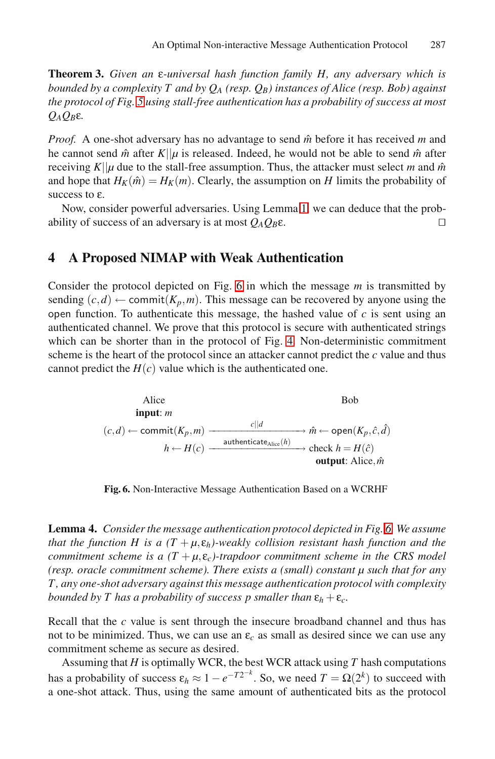**Theorem 3.** *Given an* ε*-universal hash function family H, any adversary which is bounded by a complexity T and by QA (resp. QB) instances of Alice (resp. Bob) against the protocol of Fig. 5 using stall-fr[ee](#page-2-0) authentication has a probability of success at most QAQB*ε*.*

*Proof.* A one-shot adversary has no advantage to send  $\hat{m}$  before it has received *m* and he cannot send  $\hat{m}$  after K||*µ* is released. Indeed, he would not be able to send  $\hat{m}$  after receiving *K*|| $\mu$  due to the stall-free assumption. Thus, the attacker must select *m* and  $\hat{m}$ and hope that  $H_K(\hat{m}) = H_K(m)$  $H_K(\hat{m}) = H_K(m)$  $H_K(\hat{m}) = H_K(m)$ . Clearly, the assumption on *H* limits the probability of success to ε.

Now, consider powerful adversaries. Using Lemma 1, we can deduce that the probability of success of an adversary is at most  $Q_A Q_B \varepsilon$ .

# **4 A Proposed NIMAP with Weak Authentication**

Consider the protocol depicted on Fig. 6 in which the message *m* is transmitted by sending  $(c,d) \leftarrow$  commit $(K_p,m)$ . This message can be recovered by anyone using the open function. To authenticate this message, the hashed value of *c* is sent using an authenticated channel. We prove that this protocol is secure with authenticated strings which can be shorter than in the protocol of Fig. 4. Non-deterministic commitment scheme is the heart of the protocol since an attacker cannot predict the *c* value and thus cannot predict the  $H(c)$  value which is the authenticated one.

<span id="page-7-0"></span>Alice  
\n**hyut:** 
$$
m
$$
  
\n $(c,d) \leftarrow \text{commit}(K_p, m) \xrightarrow{c||d} \hat{m} \leftarrow \text{open}(K_p, \hat{c}, \hat{d})$   
\n $h \leftarrow H(c) \xrightarrow{\text{authenticate}_{\text{Alice}}(h)} \text{check } h = H(\hat{c})$   
\n**output:** Alice,  $\hat{m}$ 

**Fig. 6.** Non-Interactive Message Authentication Based on a WCRHF

**Lemma 4.** *Consider the message authentication protocol depicted in Fig. 6. We assume that the function H is a*  $(T + \mu, \varepsilon_h)$ *-weakly collision resistant hash function and the commitment scheme is a*  $(T + \mu, \varepsilon_c)$ *-trapdoor commitment scheme in the CRS model (resp. oracle commitment scheme). There exists a (small) constant µ such that for any T , any one-shot adversary against this message authentication protocol with complexity bounded by T has a probability of success p smaller than*  $\varepsilon_h + \varepsilon_c$ .

Recall that the *c* value is sent through the insecure broadband channel and thus has not to be minimized. Thus, we can use an  $\varepsilon_c$  as small as desired since we can use any commitment scheme as secure as desired.

Assuming that *H* is optimally WCR, the best WCR attack using *T* hash computations has a probability of success  $\varepsilon_h \approx 1 - e^{-T2^{-k}}$ . So, we need  $T = \Omega(2^k)$  to succeed with a one-shot attack. Thus, using the same amount of authenticated bits as the protocol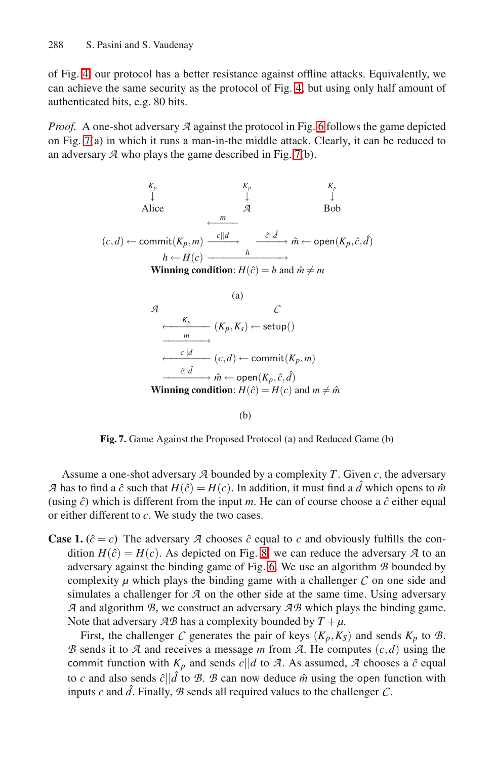of Fig. 4, our protocol has a better resistance against offline attacks. Equivalently, we can achieve the same security as the protocol of Fig. 4, but using only half amount of authenticated bits, e.g. 80 bits.

*Proof.* A one-shot adversary *A* against the protocol in Fig. 6 follows the game depicted on Fig.  $7(a)$  in which it runs a man-in-the middle attack. Clearly, it can be reduced to an adversary *A* who plays the game described in Fig. 7(b).

$$
\begin{array}{ccc}\n\begin{array}{ccc}\nK_p & & K_p & & K_p \\
\downarrow & & \downarrow & & \downarrow \\
\text{Alice} & & A & \text{Bob} \\
\end{array}\n\end{array}
$$
\n
$$
(c,d) \leftarrow \text{commit}(K_p, m) \xrightarrow{c||d} \xrightarrow{c||d} \hat{m} \leftarrow \text{open}(K_p, \hat{c}, \hat{d})
$$
\n
$$
h \leftarrow H(c) \xrightarrow{h} \text{Winning condition: } H(\hat{c}) = h \text{ and } \hat{m} \neq m
$$
\n
$$
(a)
$$
\n
$$
\mathcal{A} & C
$$

$$
\begin{array}{c}\nK_p\n\end{array}\n\longrightarrow\n\begin{array}{c}\n(K_p, K_s) \leftarrow \text{setup}()\\
\hline\n\end{array}\n\begin{array}{c}\n\leftarrow \text{cl} \left|d\right. \\
\hline\n\left(\begin{array}{c}\nc, d\right) \leftarrow \text{commit}(K_p, m) \\
\hline\n\end{array}\right. \\
\hline\n\end{array}
$$
\nWinning condition:  $H(\hat{c}) = H(c)$  and  $m \neq \hat{m}$ 

(b)

**Fig. 7.** Game Against the Proposed Protocol (a) and Reduced Game (b)

Assume a one-shot adv[ers](#page-7-0)ary *A* bounded by a complexity *T*. Given *c*, the adversary *A* has to find a  $\hat{c}$  such that  $H(\hat{c}) = H(c)$ . In addition, it must find a  $\hat{d}$  which opens to  $\hat{m}$ (using  $\hat{c}$ ) which is different from the input *m*. He can of course choose a  $\hat{c}$  either equal or either different to *c*. We study the two cases.

**Case 1.**  $(\hat{c} = c)$  The adversary *A* chooses  $\hat{c}$  equal to *c* and obviously fulfills the condition  $H(\hat{c}) = H(c)$ . As depicted on Fig. 8, we can reduce the adversary *A* to an adversary against the binding game of Fig. 6. We use an algorithm *B* bounded by complexity  $\mu$  which plays the binding game with a challenger  $C$  on one side and simulates a challenger for *A* on the other side at the same time. Using adversary *A* and algorithm *B*, we construct an adversary *AB* which plays the binding game. Note that adversary  $\mathcal{AB}$  has a complexity bounded by  $T + \mu$ .

First, the challenger *C* generates the pair of keys  $(K_p, K_S)$  and sends  $K_p$  to *B*. *B* sends it to *A* and receives a message *m* from *A*. He computes  $(c,d)$  using the commit function with  $K_p$  and sends  $c||d$  to  $A$ . As assumed,  $A$  chooses a  $\hat{c}$  equal to *c* and also sends  $\hat{c}||\hat{d}$  to *B*. *B* can now deduce  $\hat{m}$  using the open function with inputs *c* and  $\hat{d}$ . Finally,  $\hat{B}$  sends all required values to the challenger  $\hat{C}$ .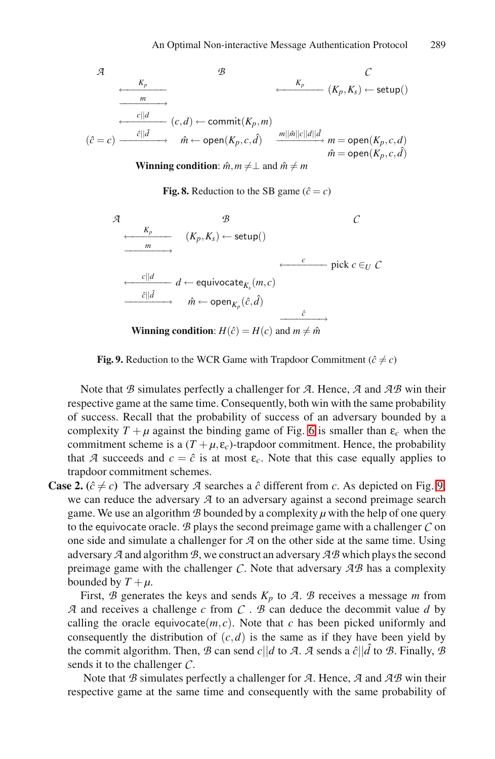A  
\n
$$
\xrightarrow{K_p} (K_p, K_s) \leftarrow \text{setup}()
$$
\n
$$
\xrightarrow{c||d} (c,d) \leftarrow \text{commit}(K_p, m)
$$
\n
$$
(\hat{c} = c) \xrightarrow{\hat{c}||\hat{d}} \hat{m} \leftarrow \text{open}(K_p, c, \hat{d}) \xrightarrow{m||\hat{m}||c||d||\hat{d}} m = \text{open}(K_p, c, \hat{d})
$$
\n
$$
\xrightarrow{\hat{m}} \text{open}(K_p, c, \hat{d})
$$
\n
$$
\xrightarrow{\hat{m}} \text{open}(K_p, c, \hat{d})
$$

**Winning condition**:  $\hat{m}, m \neq \perp$  and  $\hat{m} \neq m$ 

**Fig. 8.** Reduction to the SB game ( $\hat{c} = c$ )

A  
\n
$$
K_p
$$
  
\n $(K_p, K_s) \leftarrow \text{setup}()$   
\n $\xrightarrow{c}$   
\n $C$   
\n $C$   
\n $C$   
\n $C$   
\n $C$   
\n $C$   
\n $C$   
\n $C$   
\n $C$   
\n $C$   
\n $C$   
\n $C$   
\n $C$   
\n $C$   
\n $C$   
\n $C$   
\n $C$   
\n $C$   
\n $C$   
\n $C$   
\n $C$   
\n $C$   
\n $C$   
\n $C$   
\n $C$   
\n $C$   
\n $C$   
\n $C$   
\n $C$   
\n $C$   
\n $C$   
\n $C$   
\n $C$   
\n $C$   
\n $C$   
\n $C$   
\n $C$   
\n $C$   
\n $C$   
\n $C$   
\n $C$   
\n $C$   
\n $C$   
\n $C$   
\n $C$   
\n $C$   
\n $C$   
\n $C$   
\n $C$   
\n $C$   
\n $C$   
\n $C$   
\n $C$   
\n $C$   
\n $C$   
\n $C$   
\n $C$   
\n $C$   
\n $C$   
\n $C$   
\n $C$   
\n $C$   
\n $C$   
\n $C$   
\n $C$   
\n $C$   
\n $C$   
\n $C$   
\n $C$   
\n $C$   
\n $C$   
\n $C$   
\n $C$   
\n $C$   
\n $C$   
\n $C$   
\n $C$   
\n $C$   
\n $C$   
\n $C$ 

**Fig. 9.** Reduction to the WCR Game with Trapdoor Commitment ( $\hat{c} \neq c$ )

<span id="page-9-0"></span>Note that *B* simulates perfectly a challenger for *A*. Hen[ce,](#page-9-0) *A* and *AB* win their respective game at the same time. Consequently, both win with the same probability of success. Recall that the probability of success of an adversary bounded by a complexity  $T + \mu$  against the binding game of Fig. 6 is smaller than  $\varepsilon_c$  when the commitment scheme is a  $(T + \mu, \varepsilon_c)$ -trapdoor commitment. Hence, the probability that *A* succeeds and  $c = \hat{c}$  is at most  $\varepsilon_c$ . Note that this case equally applies to trapdoor commitment schemes.

**Case 2.**  $(\hat{c} \neq c)$  The adversary *A* searches a  $\hat{c}$  different from *c*. As depicted on Fig. 9, we can reduce the adversary *A* to an adversary against a second preimage search game. We use an algorithm  $\mathcal B$  bounded by a complexity  $\mu$  with the help of one query to the equivocate oracle. *B* plays the second preimage game with a challenger *C* on one side and simulate a challenger for *A* on the other side at the same time. Using adversary*A* and algorithm*B*, we construct an adversary*AB* which plays the second preimage game with the challenger *C*. Note that adversary *AB* has a complexity bounded by  $T + \mu$ .

First,  $\mathcal{B}$  generates the keys and sends  $K_p$  to  $\mathcal{A}$ .  $\mathcal{B}$  receives a message *m* from *A* and receives a challenge *c* from *C* . *B* can deduce the decommit value *d* by calling the oracle equivocate $(m, c)$ . Note that *c* has been picked uniformly and consequently the distribution of  $(c,d)$  is the same as if they have been yield by the commit algorithm. Then, *B* can send *c* $||d$  to *A*. *A* sends a  $\partial$  $||d$  to *B*. Finally, *B* sends it to the challenger *C*.

Note that *B* simulates perfectly a challenger for *A*. Hence, *A* and *AB* win their respective game at the same time and consequently with the same probability of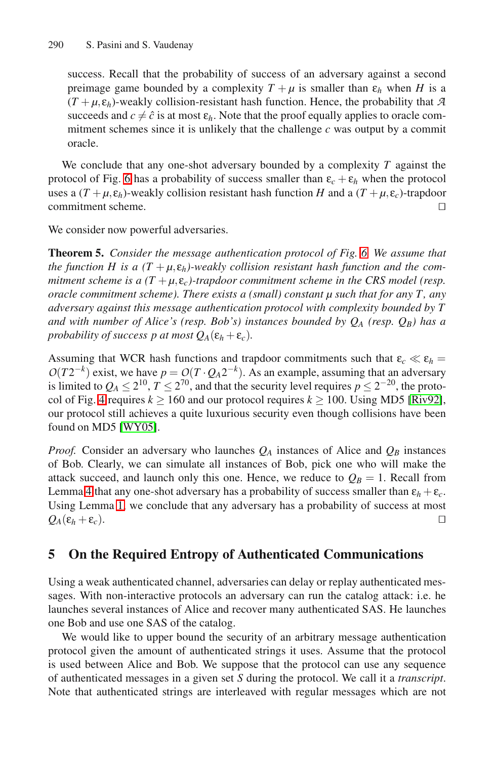success. Recall that the probability of success of an adversary against a second preimage game bounded by a complexity  $T + \mu$  is smaller than  $\varepsilon_h$  when *H* is a  $(T + \mu, \varepsilon_h)$ -weakly collision-resistant hash function. Hence, the probability that *A* succeeds and  $c \neq \hat{c}$  is at most  $\varepsilon_h$ . Note that the proof equally applies to oracle commitment schemes since it is unlikely that the challenge *c* was output by a commit oracle.

<span id="page-10-0"></span>We conclude that any one-shot adversary bounded by a complexity *T* against the protocol of Fig. 6 has a probability of success smaller than  $\varepsilon_c + \varepsilon_h$  when the protocol uses a  $(T + \mu, \varepsilon_h)$ -weakly collision resistant hash function *H* and a  $(T + \mu, \varepsilon_c)$ -trapdoor commitment scheme. 

We consider now powerful adversaries.

**Theorem 5.** *Consider the message authentication protocol of Fig. 6. We assume that the function H is a*  $(T + \mu, \varepsilon_h)$ *-weakly collision resistant hash function and the commitment scheme is a*  $(T + \mu, \varepsilon_c)$ -trapdoor commitment scheme in the CRS model (resp. *oracle commitment scheme). There exists a (small) constant µ such that for any T, any adversary against this message authentication protocol w[ith](#page-13-9) [com](#page-13-9)plexity bounded by T [an](#page-14-4)d with number of Alice's (resp. Bob's) instances bounded by*  $Q_A$  *(resp.*  $Q_B$ *) has a probability of success p at most*  $Q_A(\varepsilon_h + \varepsilon_c)$ *.* 

Assuming that WCR hash functions and trapdoor commitments such that  $\varepsilon_c \ll \varepsilon_h =$  $O(T2^{-k})$  exist, we have  $p = O(T \cdot Q_A 2^{-k})$ . As an example, assuming that an adversary is limited to  $Q_A \le 2^{10}$ ,  $T \le 2^{70}$ , and that the security level requires  $p \le 2^{-20}$ , the protocol of Fig. 4 requires  $k > 160$  and our protocol requires  $k > 100$ . Using MD5 [Riv92], our protocol still achieves a quite luxurious security even though collisions have been found on MD5 [WY05].

*Proof.* Consider an adversary who launches  $Q_A$  instances of Alice and  $Q_B$  instances of Bob. Clearly, we can simulate all instances of Bob, pick one who will make the attack succeed, and launch only this one. Hence, we reduce to  $Q_B = 1$ . Recall from Lemma 4 that any one-shot adversary has a probability of success smaller than  $\varepsilon_h + \varepsilon_c$ . Using Lemma 1, we conclude that any adversary has a probability of success at most  $Q_A(\varepsilon_h + \varepsilon_c)$ .

# **5 On the Required Entropy of Authenticated Communications**

Using a weak authenticated channel, adversaries can delay or replay authenticated messages. With non-interactive protocols an adversary can run the catalog attack: i.e. he launches several instances of Alice and recover many authenticated SAS. He launches one Bob and use one SAS of the catalog.

We would like to upper bound the security of an arbitrary message authentication protocol given the amount of authenticated strings it uses. Assume that the protocol is used between Alice and Bob. We suppose that the protocol can use any sequence of authenticated messages in a given set *S* during the protocol. We call it a *transcript*. Note that authenticated strings are interleaved with regular messages which are not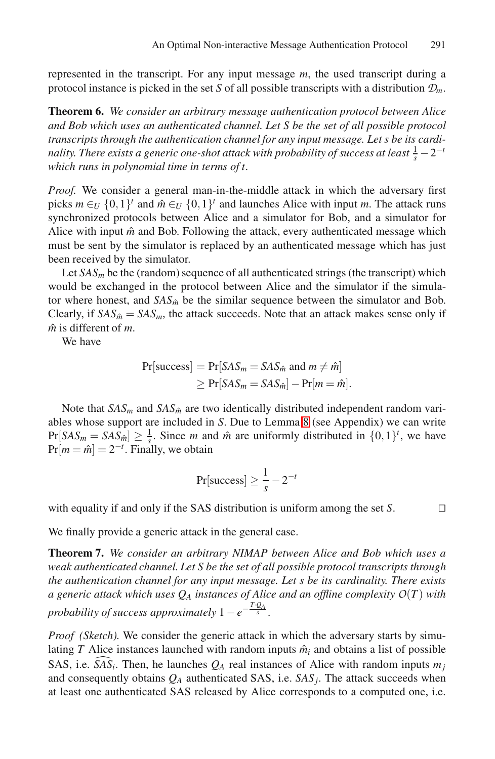represented in the transcript. For any input message *m*, the used transcript during a protocol instance is picked in the set *S* of all possible transcripts with a distribution  $\mathcal{D}_m$ .

**Theorem 6.** *We consider an arbitrary message authentication protocol between Alice and Bob which uses an authenticated channel. Let S be the set of all possible protocol transcripts through the authentication channel for any input message. Let s be its cardinality. There exists a generic one-shot attack with probability of success at least*  $\frac{1}{s} - 2^{-t}$ *which runs in polynomial time in terms of t.*

*Proof.* We consider a general man-in-the-middle attack in which the adversary first picks  $m \in U$  {0,1}<sup>t</sup> and  $\hat{m} \in U$  {0,1}<sup>t</sup> and launches Alice with input *m*. The attack runs synchronized protocols between Alice and a simulator for Bob, and a simulator for Alice with input  $\hat{m}$  and Bob. Following the attack, every authenticated message which must be sent by the simulator is replaced by an authenticated message which has just been received by the simulator.

Let  $SAS_m$  be the (random) sequence of all authenticated strings (the transcript) which would be exchanged in the protocol between Alice and the simulator if the simulator where honest, and  $SAS_{\hat{m}}$  be the similar sequence between the simulator and Bob. Clearly, if  $SAS_{\hat{m}} = SAS_m$ , the atta[ck](#page-14-5) succeeds. Note that an attack makes sense only if *m*ˆ is different of *m*.

We have

$$
Pr[success] = Pr[ SAS_m = SAS_{\hat{m}} \text{ and } m \neq \hat{m}]
$$
  
\n
$$
\geq Pr[ SAS_m = SAS_{\hat{m}}] - Pr[m = \hat{m}].
$$

Note that  $SAS_m$  and  $SAS_{\hat{m}}$  are two identically distributed independent random variables whose support are included in *S*. Due to Lemma 8 (see Appendix) we can write  $Pr[*SAS<sub>m</sub>* = *SAS<sub>\hat{m}</sub>*] \ge \frac{1}{s}$ . Since *m* and  $\hat{m}$  are uniformly distributed in  $\{0,1\}^t$ , we have  $Pr[m = \hat{m}] = 2^{-t}$ . Finally, we obtain

$$
\Pr[\text{success}] \ge \frac{1}{s} - 2^{-t}
$$

with equality if and only if the SAS distribution is uniform among the set  $S$ .

We finally provide a generic attack in the general case.

**Theorem 7.** *We consider an arbitrary NIMAP between Alice and Bob which uses a weak authenticated channel. Let S be the set of all possible protocol transcripts through the authentication channel for any input message. Let s be its cardinality. There exists a generic attack which uses QA instances of Alice and an offline complexity O*(*T*) *with probability of success approximately*  $1-e^{-\frac{T \cdot Q_A}{s}}$ .

*Proof (Sketch)*. We consider the generic attack in which the adversary starts by simulating *T* Alice instances launched with random inputs  $\hat{m}_i$  and obtains a list of possible SAS, i.e. *SAS<sub>i</sub>*. Then, he launches  $Q_A$  real instances of Alice with random inputs  $m_j$ and consequently obtains  $O_A$  authenticated SAS, i.e.  $SAS_i$ . The attack succeeds when at least one authenticated SAS released by Alice corresponds to a computed one, i.e.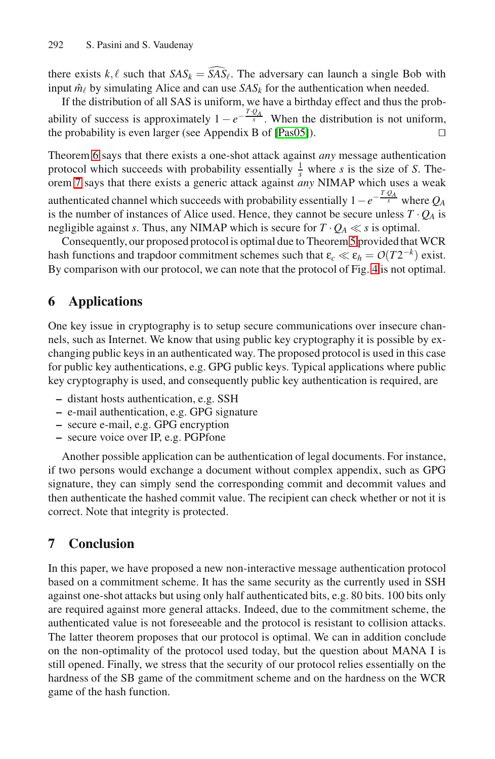there exists  $k, \ell$  such that  $SAS_k = SAS_\ell$ . The adversary can launch a single Bob with input  $\hat{m}_{\ell}$  by simulating Alice and can use  $SAS_k$  for the authentication when needed.

If the distribution of all SAS is uniform, we have a birthday effect and thus the probability of success is approximately  $1 - e^{-\frac{T \cdot Q_A}{s}}$ . When the distribution is not uniform, the probability is even larger (see Appendix [B](#page-10-0) of [Pas05]).  $\Box$ 

Theorem 6 says that there exists a one-shot attack against *any* message authentication protocol which succeeds with probability essent[ial](#page-6-2)ly  $\frac{1}{s}$  where *s* is the size of *S*. Theorem 7 says that there exists a generic attack against *any* NIMAP which uses a weak authenticated channel which succeeds with probability essentially  $1-e^{-\frac{T \cdot Q_A}{s}}$  where  $Q_A$ is the number of instances of Alice used. Hence, they cannot be secure unless  $T \cdot Q_A$  is negligible against *s*. Thus, any NIMAP which is secure for  $T \cdot Q_A \ll s$  is optimal.

Consequently, our proposed protocol is optimal due to Theorem 5 provided that WCR hash functions and trapdoor commitment schemes such that  $\varepsilon_c \ll \varepsilon_h = O(T2^{-k})$  exist. By comparison with our protocol, we can note that the protocol of Fig. 4 is not optimal.

# **6 Applications**

One key issue in cryptography is to setup secure communications over insecure channels, such as Internet. We know that using public key cryptography it is possible by exchanging public keys in an authenticated way. The proposed protocol is used in this case for public key authentications, e.g. GPG public keys. Typical applications where public key cryptography is used, and consequently public key authentication is required, are

- **–** distant hosts authentication, e.g. SSH
- **–** e-mail authentication, e.g. GPG signature
- **–** secure e-mail, e.g. GPG encryption
- **–** secure voice over IP, e.g. PGPfone

Another possible application can be authentication of legal documents. For instance, if two persons would exchange a document without complex appendix, such as GPG signature, they can simply send the corresponding commit and decommit values and then authenticate the hashed commit value. The recipient can check whether or not it is correct. Note that integrity is protected.

# **7 Conclusion**

In this paper, we have proposed a new non-interactive message authentication protocol based on a commitment scheme. It has the same security as the currently used in SSH against one-shot attacks but using only half authenticated bits, e.g. 80 bits. 100 bits only are required against more general attacks. Indeed, due to the commitment scheme, the authenticated value is not foreseeable and the protocol is resistant to collision attacks. The latter theorem proposes that our protocol is optimal. We can in addition conclude on the non-optimality of the protocol used today, but the question about MANA I is still opened. Finally, we stress that the security of our protocol relies essentially on the hardness of the SB game of the commitment scheme and on the hardness on the WCR game of the hash function.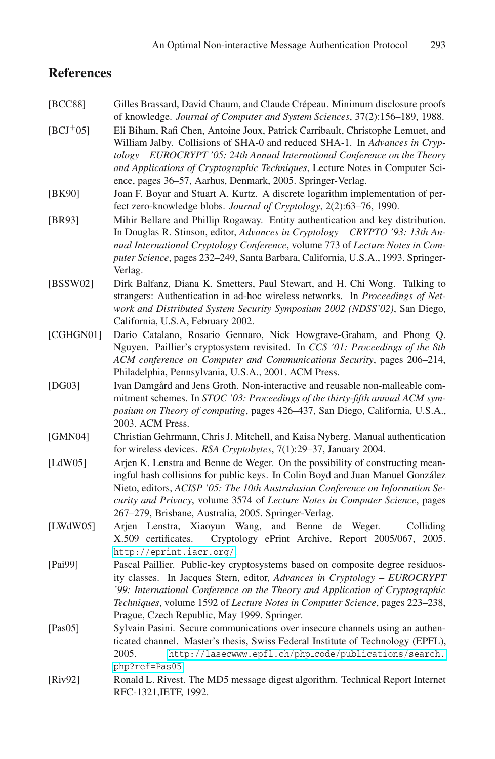# <span id="page-13-5"></span><span id="page-13-4"></span><span id="page-13-1"></span>**References**

<span id="page-13-9"></span><span id="page-13-8"></span><span id="page-13-7"></span><span id="page-13-6"></span><span id="page-13-3"></span><span id="page-13-2"></span><span id="page-13-0"></span>

| [BCC88]                     | Gilles Brassard, David Chaum, and Claude Crépeau. Minimum disclosure proofs<br>of knowledge. Journal of Computer and System Sciences, 37(2):156–189, 1988.                                                                                                                                                                                                                               |
|-----------------------------|------------------------------------------------------------------------------------------------------------------------------------------------------------------------------------------------------------------------------------------------------------------------------------------------------------------------------------------------------------------------------------------|
| $[BCJ+05]$                  | Eli Biham, Rafi Chen, Antoine Joux, Patrick Carribault, Christophe Lemuet, and<br>William Jalby. Collisions of SHA-0 and reduced SHA-1. In Advances in Cryp-<br>tology - EUROCRYPT '05: 24th Annual International Conference on the Theory<br>and Applications of Cryptographic Techniques, Lecture Notes in Computer Sci-<br>ence, pages 36-57, Aarhus, Denmark, 2005. Springer-Verlag. |
| [BK90]                      | Joan F. Boyar and Stuart A. Kurtz. A discrete logarithm implementation of per-<br>fect zero-knowledge blobs. Journal of Cryptology, 2(2):63-76, 1990.                                                                                                                                                                                                                                    |
| [BR93]                      | Mihir Bellare and Phillip Rogaway. Entity authentication and key distribution.<br>In Douglas R. Stinson, editor, Advances in Cryptology - CRYPTO '93: 13th An-<br>nual International Cryptology Conference, volume 773 of Lecture Notes in Com-<br>puter Science, pages 232–249, Santa Barbara, California, U.S.A., 1993. Springer-<br>Verlag.                                           |
| [BSSW02]                    | Dirk Balfanz, Diana K. Smetters, Paul Stewart, and H. Chi Wong. Talking to<br>strangers: Authentication in ad-hoc wireless networks. In Proceedings of Net-<br>work and Distributed System Security Symposium 2002 (NDSS'02), San Diego,<br>California, U.S.A, February 2002.                                                                                                            |
| [CGHGN01]                   | Dario Catalano, Rosario Gennaro, Nick Howgrave-Graham, and Phong Q.<br>Nguyen. Paillier's cryptosystem revisited. In CCS '01: Proceedings of the 8th<br>ACM conference on Computer and Communications Security, pages 206–214,<br>Philadelphia, Pennsylvania, U.S.A., 2001. ACM Press.                                                                                                   |
| [DG03]                      | Ivan Damgård and Jens Groth. Non-interactive and reusable non-malleable com-<br>mitment schemes. In STOC '03: Proceedings of the thirty-fifth annual ACM sym-<br>posium on Theory of computing, pages 426–437, San Diego, California, U.S.A.,<br>2003. ACM Press.                                                                                                                        |
| [GMN04]                     | Christian Gehrmann, Chris J. Mitchell, and Kaisa Nyberg. Manual authentication<br>for wireless devices. RSA Cryptobytes, 7(1):29-37, January 2004.                                                                                                                                                                                                                                       |
| [LdW05]                     | Arjen K. Lenstra and Benne de Weger. On the possibility of constructing mean-<br>ingful hash collisions for public keys. In Colin Boyd and Juan Manuel González<br>Nieto, editors, ACISP '05: The 10th Australasian Conference on Information Se-<br>curity and Privacy, volume 3574 of Lecture Notes in Computer Science, pages<br>267-279, Brisbane, Australia, 2005. Springer-Verlag. |
| [LWdW05]                    | Arjen Lenstra, Xiaoyun Wang, and Benne de Weger.<br>Colliding<br>X.509 certificates.<br>Cryptology ePrint Archive, Report 2005/067, 2005.<br>http://eprint.iacr.org/.                                                                                                                                                                                                                    |
| [Pai99]                     | Pascal Paillier. Public-key cryptosystems based on composite degree residuos-<br>ity classes. In Jacques Stern, editor, Advances in Cryptology - EUROCRYPT<br>'99: International Conference on the Theory and Application of Cryptographic<br><i>Techniques, volume 1592 of Lecture Notes in Computer Science, pages 223–238,</i><br>Prague, Czech Republic, May 1999. Springer.         |
| [ $Pas05$ ]                 | Sylvain Pasini. Secure communications over insecure channels using an authen-<br>ticated channel. Master's thesis, Swiss Federal Institute of Technology (EPFL),<br>2005.<br>http://lasecwww.epfl.ch/php_code/publications/search.<br>php?ref=Pas05.                                                                                                                                     |
| $\left[\text{Riv92}\right]$ | Ronald L. Rivest. The MD5 message digest algorithm. Technical Report Internet<br>RFC-1321, IETF, 1992.                                                                                                                                                                                                                                                                                   |